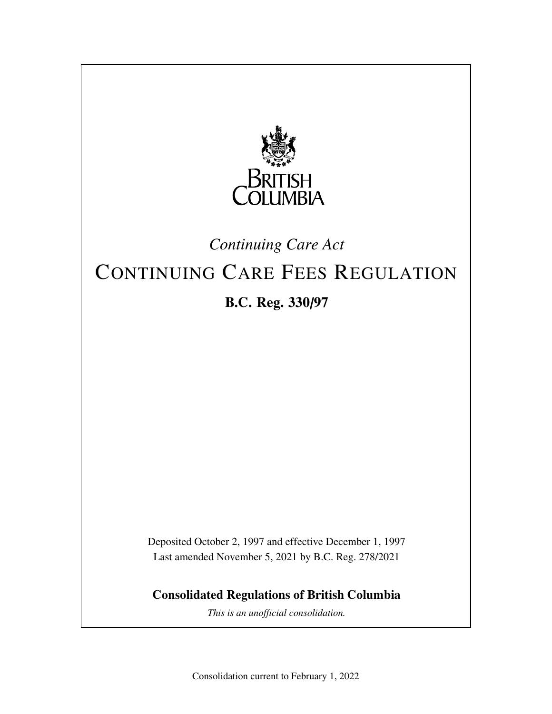

# *Continuing Care Act*

# CONTINUING CARE FEES REGULATION **B.C. Reg. 330/97**

Deposited October 2, 1997 and effective December 1, 1997 Last amended November 5, 2021 by B.C. Reg. 278/2021

**Consolidated Regulations of British Columbia**

*This is an unofficial consolidation.*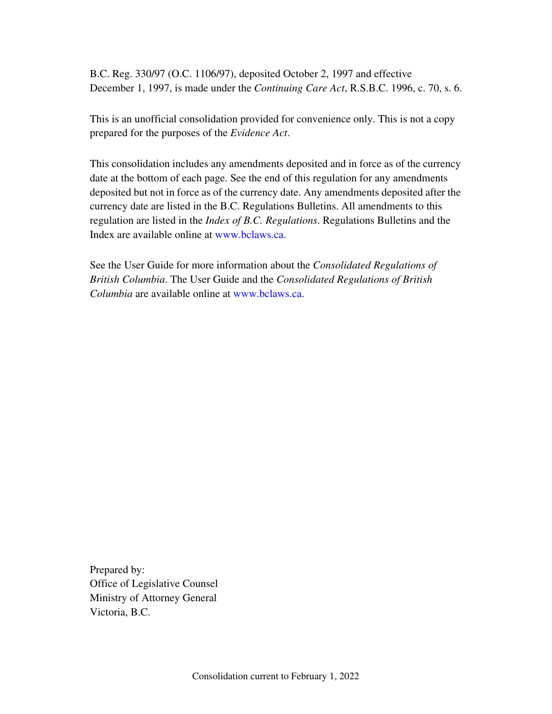B.C. Reg. 330/97 (O.C. 1106/97), deposited October 2, 1997 and effective December 1, 1997, is made under the *Continuing Care Act*, R.S.B.C. 1996, c. 70, s. 6.

This is an unofficial consolidation provided for convenience only. This is not a copy prepared for the purposes of the *Evidence Act*.

This consolidation includes any amendments deposited and in force as of the currency date at the bottom of each page. See the end of this regulation for any amendments deposited but not in force as of the currency date. Any amendments deposited after the currency date are listed in the B.C. Regulations Bulletins. All amendments to this regulation are listed in the *Index of B.C. Regulations*. Regulations Bulletins and the Index are available online at www.bclaws.ca.

See the User Guide for more information about the *Consolidated Regulations of British Columbia*. The User Guide and the *Consolidated Regulations of British Columbia* are available online at www.bclaws.ca.

Prepared by: Office of Legislative Counsel Ministry of Attorney General Victoria, B.C.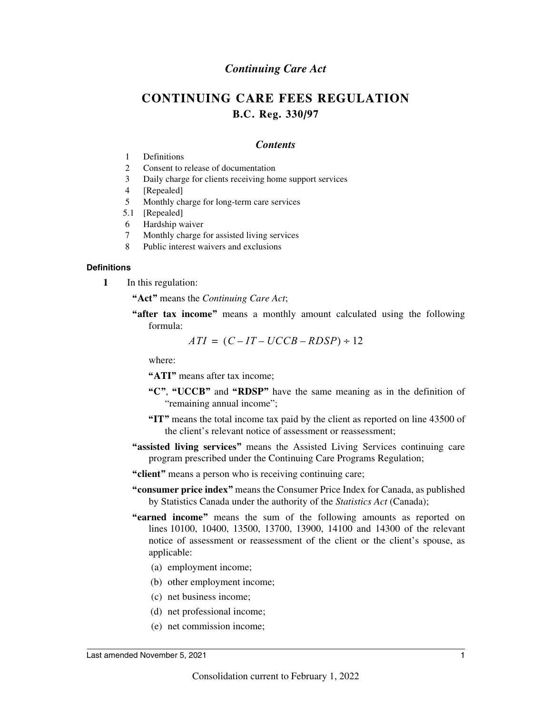### *Continuing Care Act*

## **CONTINUING CARE FEES REGULATION B.C. Reg. 330/97**

#### *Contents*

- 1 Definitions
- 2 Consent to release of documentation
- 3 Daily charge for clients receiving home support services
- 4 [Repealed]
- 5 Monthly charge for long-term care services
- 5.1 [Repealed]
- 6 Hardship waiver
- 7 Monthly charge for assisted living services
- 8 Public interest waivers and exclusions

#### **Definitions**

- **1** In this regulation:
	- **"Act"** means the *Continuing Care Act*;
	- **"after tax income"** means a monthly amount calculated using the following formula:

$$
ATI = (C - IT - UCCB - RDSP) \div 12
$$

where:

**"ATI"** means after tax income;

- **"C"**, **"UCCB"** and **"RDSP"** have the same meaning as in the definition of "remaining annual income";
- **"IT"** means the total income tax paid by the client as reported on line 43500 of the client's relevant notice of assessment or reassessment;
- **"assisted living services"** means the Assisted Living Services continuing care program prescribed under the Continuing Care Programs Regulation;
- **"client"** means a person who is receiving continuing care;
- **"consumer price index"** means the Consumer Price Index for Canada, as published by Statistics Canada under the authority of the *Statistics Act* (Canada);
- **"earned income"** means the sum of the following amounts as reported on lines 10100, 10400, 13500, 13700, 13900, 14100 and 14300 of the relevant notice of assessment or reassessment of the client or the client's spouse, as applicable:
	- (a) employment income;
	- (b) other employment income;
	- (c) net business income;
	- (d) net professional income;
	- (e) net commission income;

#### Last amended November 5, 2021 1 and the state of the state of the state of the state of the state of the state of the state of the state of the state of the state of the state of the state of the state of the state of the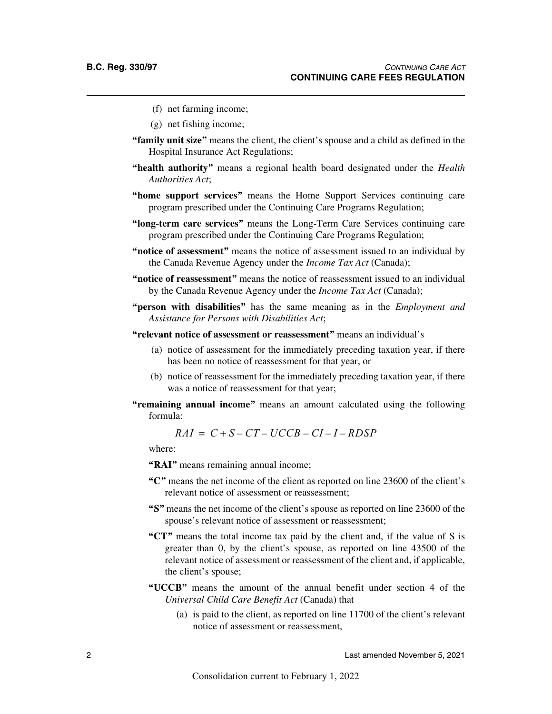- (f) net farming income;
- (g) net fishing income;
- **"family unit size"** means the client, the client's spouse and a child as defined in the Hospital Insurance Act Regulations;
- **"health authority"** means a regional health board designated under the *Health Authorities Act*;
- **"home support services"** means the Home Support Services continuing care program prescribed under the Continuing Care Programs Regulation;
- **"long-term care services"** means the Long-Term Care Services continuing care program prescribed under the Continuing Care Programs Regulation;
- **"notice of assessment"** means the notice of assessment issued to an individual by the Canada Revenue Agency under the *Income Tax Act* (Canada);
- **"notice of reassessment"** means the notice of reassessment issued to an individual by the Canada Revenue Agency under the *Income Tax Act* (Canada);
- **"person with disabilities"** has the same meaning as in the *Employment and Assistance for Persons with Disabilities Act*;
- **"relevant notice of assessment or reassessment"** means an individual's
	- (a) notice of assessment for the immediately preceding taxation year, if there has been no notice of reassessment for that year, or
	- (b) notice of reassessment for the immediately preceding taxation year, if there was a notice of reassessment for that year;
- **"remaining annual income"** means an amount calculated using the following formula:

 $RAI = C + S - CT - UCCB - CI - I - RDSP$ 

where:

- **"RAI"** means remaining annual income;
- **"C"** means the net income of the client as reported on line 23600 of the client's relevant notice of assessment or reassessment;
- **"S"** means the net income of the client's spouse as reported on line 23600 of the spouse's relevant notice of assessment or reassessment;
- **"CT"** means the total income tax paid by the client and, if the value of S is greater than 0, by the client's spouse, as reported on line 43500 of the relevant notice of assessment or reassessment of the client and, if applicable, the client's spouse;
- **"UCCB"** means the amount of the annual benefit under section 4 of the *Universal Child Care Benefit Act* (Canada) that
	- (a) is paid to the client, as reported on line 11700 of the client's relevant notice of assessment or reassessment,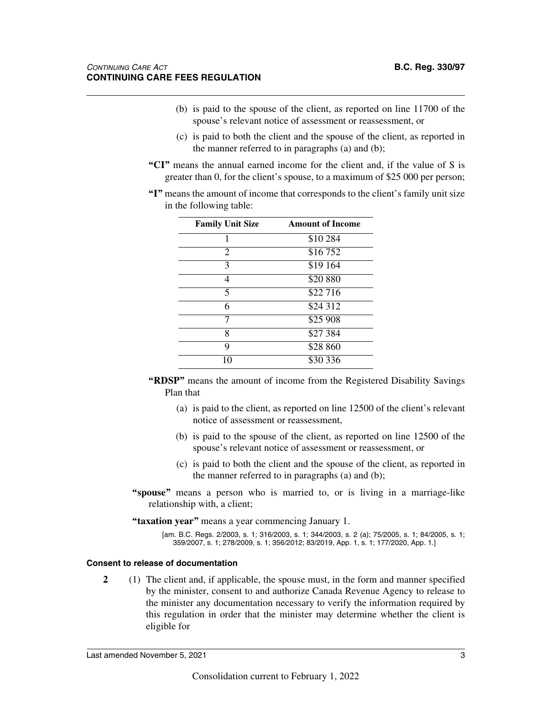- (b) is paid to the spouse of the client, as reported on line 11700 of the spouse's relevant notice of assessment or reassessment, or
- (c) is paid to both the client and the spouse of the client, as reported in the manner referred to in paragraphs (a) and (b);
- **"CI"** means the annual earned income for the client and, if the value of S is greater than 0, for the client's spouse, to a maximum of \$25 000 per person;
- **"I"** means the amount of income that corresponds to the client's family unit size in the following table:

| <b>Family Unit Size</b> | <b>Amount of Income</b> |
|-------------------------|-------------------------|
|                         | \$10 284                |
| 2                       | \$16752                 |
| 3                       | $\overline{$}19\ 164$   |
| 4                       | \$20 880                |
| 5                       | \$22 716                |
| 6                       | \$24 312                |
|                         | $$25\,908$              |
| 8                       | \$27 384                |
| q                       | \$28 860                |
| 10                      | \$30 336                |

- **"RDSP"** means the amount of income from the Registered Disability Savings Plan that
	- (a) is paid to the client, as reported on line 12500 of the client's relevant notice of assessment or reassessment,
	- (b) is paid to the spouse of the client, as reported on line 12500 of the spouse's relevant notice of assessment or reassessment, or
	- (c) is paid to both the client and the spouse of the client, as reported in the manner referred to in paragraphs (a) and (b);
- **"spouse"** means a person who is married to, or is living in a marriage-like relationship with, a client;
- **"taxation year"** means a year commencing January 1.
	- [am. B.C. Regs. 2/2003, s. 1; 316/2003, s. 1; 344/2003, s. 2 (a); 75/2005, s. 1; 84/2005, s. 1; 359/2007, s. 1; 278/2009, s. 1; 356/2012; 83/2019, App. 1, s. 1; 177/2020, App. 1.]

#### **Consent to release of documentation**

**2** (1) The client and, if applicable, the spouse must, in the form and manner specified by the minister, consent to and authorize Canada Revenue Agency to release to the minister any documentation necessary to verify the information required by this regulation in order that the minister may determine whether the client is eligible for

Last amended November 5, 2021 3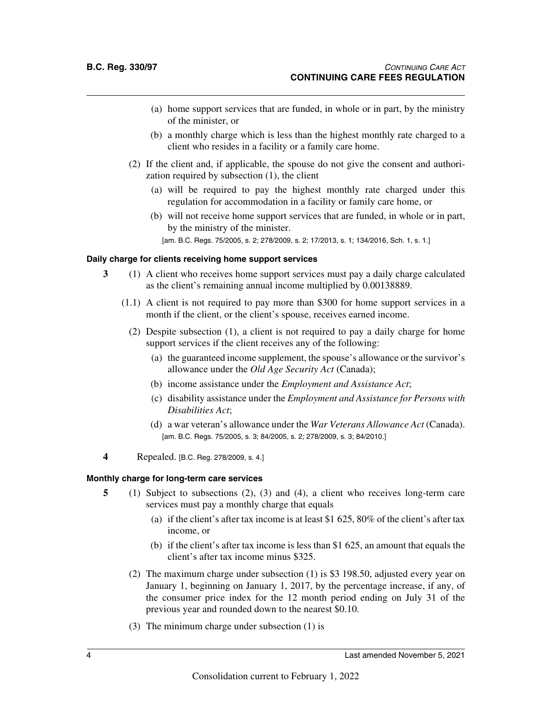- (a) home support services that are funded, in whole or in part, by the ministry of the minister, or
- (b) a monthly charge which is less than the highest monthly rate charged to a client who resides in a facility or a family care home.
- (2) If the client and, if applicable, the spouse do not give the consent and authorization required by subsection (1), the client
	- (a) will be required to pay the highest monthly rate charged under this regulation for accommodation in a facility or family care home, or
	- (b) will not receive home support services that are funded, in whole or in part, by the ministry of the minister.

[am. B.C. Regs. 75/2005, s. 2; 278/2009, s. 2; 17/2013, s. 1; 134/2016, Sch. 1, s. 1.]

#### **Daily charge for clients receiving home support services**

- **3** (1) A client who receives home support services must pay a daily charge calculated as the client's remaining annual income multiplied by 0.00138889.
	- (1.1) A client is not required to pay more than \$300 for home support services in a month if the client, or the client's spouse, receives earned income.
		- (2) Despite subsection (1), a client is not required to pay a daily charge for home support services if the client receives any of the following:
			- (a) the guaranteed income supplement, the spouse's allowance or the survivor's allowance under the *Old Age Security Act* (Canada);
			- (b) income assistance under the *Employment and Assistance Act*;
			- (c) disability assistance under the *Employment and Assistance for Persons with Disabilities Act*;
			- (d) a war veteran's allowance under the *War Veterans Allowance Act* (Canada). [am. B.C. Regs. 75/2005, s. 3; 84/2005, s. 2; 278/2009, s. 3; 84/2010.]
- **4** Repealed. [B.C. Reg. 278/2009, s. 4.]

#### **Monthly charge for long-term care services**

- **5** (1) Subject to subsections (2), (3) and (4), a client who receives long-term care services must pay a monthly charge that equals
	- (a) if the client's after tax income is at least \$1 625, 80% of the client's after tax income, or
	- (b) if the client's after tax income is less than \$1 625, an amount that equals the client's after tax income minus \$325.
	- (2) The maximum charge under subsection (1) is \$3 198.50, adjusted every year on January 1, beginning on January 1, 2017, by the percentage increase, if any, of the consumer price index for the 12 month period ending on July 31 of the previous year and rounded down to the nearest \$0.10.
	- (3) The minimum charge under subsection (1) is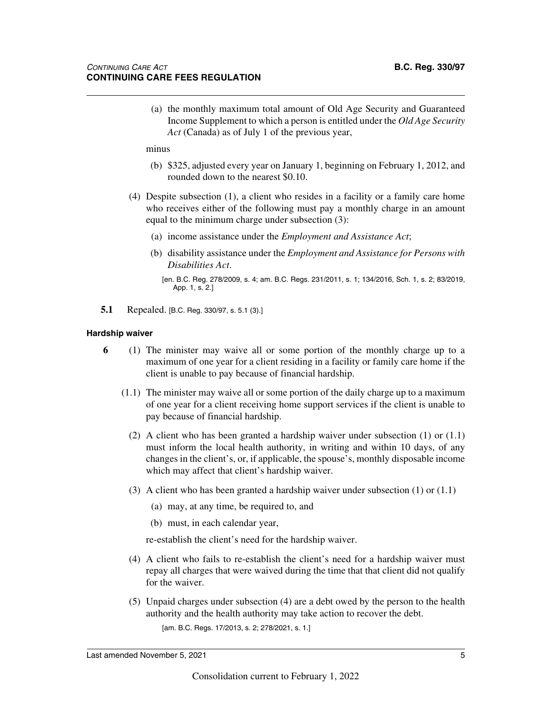(a) the monthly maximum total amount of Old Age Security and Guaranteed Income Supplement to which a person is entitled under the *Old Age Security Act* (Canada) as of July 1 of the previous year,

minus

- (b) \$325, adjusted every year on January 1, beginning on February 1, 2012, and rounded down to the nearest \$0.10.
- (4) Despite subsection (1), a client who resides in a facility or a family care home who receives either of the following must pay a monthly charge in an amount equal to the minimum charge under subsection (3):
	- (a) income assistance under the *Employment and Assistance Act*;
	- (b) disability assistance under the *Employment and Assistance for Persons with Disabilities Act*.
		- [en. B.C. Reg. 278/2009, s. 4; am. B.C. Regs. 231/2011, s. 1; 134/2016, Sch. 1, s. 2; 83/2019, App. 1, s. 2.]
- **5.1** Repealed. [B.C. Reg. 330/97, s. 5.1 (3).]

#### **Hardship waiver**

- **6** (1) The minister may waive all or some portion of the monthly charge up to a maximum of one year for a client residing in a facility or family care home if the client is unable to pay because of financial hardship.
	- (1.1) The minister may waive all or some portion of the daily charge up to a maximum of one year for a client receiving home support services if the client is unable to pay because of financial hardship.
		- (2) A client who has been granted a hardship waiver under subsection (1) or (1.1) must inform the local health authority, in writing and within 10 days, of any changes in the client's, or, if applicable, the spouse's, monthly disposable income which may affect that client's hardship waiver.
		- (3) A client who has been granted a hardship waiver under subsection  $(1)$  or  $(1.1)$ 
			- (a) may, at any time, be required to, and
			- (b) must, in each calendar year,

re-establish the client's need for the hardship waiver.

- (4) A client who fails to re-establish the client's need for a hardship waiver must repay all charges that were waived during the time that that client did not qualify for the waiver.
- (5) Unpaid charges under subsection (4) are a debt owed by the person to the health authority and the health authority may take action to recover the debt. [am. B.C. Regs. 17/2013, s. 2; 278/2021, s. 1.]